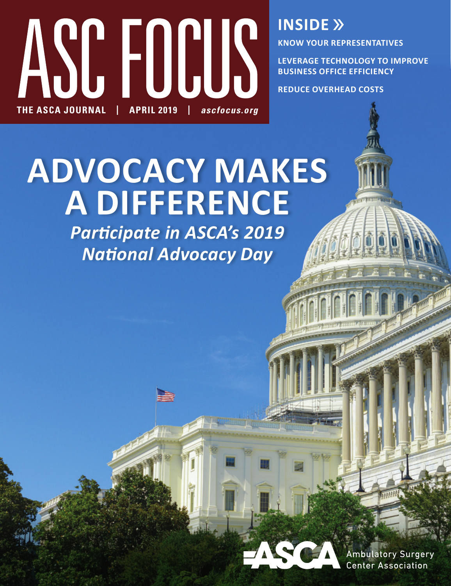

**INSIDE »** 

**KNOW YOUR REPRESENTATIVES**

**LEVERAGE TECHNOLOGY TO IMPROVE BUSINESS OFFICE EFFICIENCY**

**REDUCE OVERHEAD COSTS**

**ADVOCACY MAKES A DIFFERENCE**

*Participate in ASCA's 2019 National Advocacy Day*

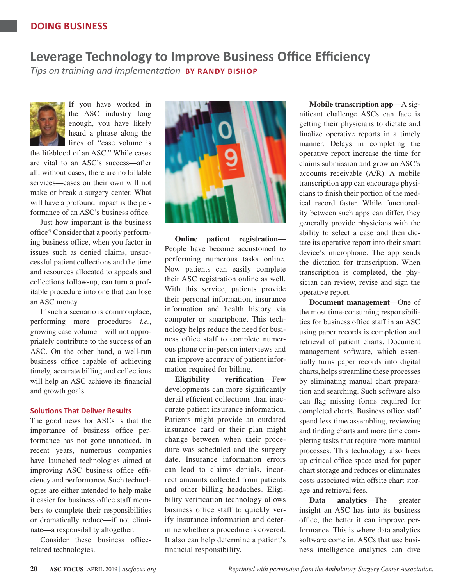## **DOING BUSINESS**

## **Leverage Technology to Improve Business Office Efficiency**

*Tips on training and implementation* **BY RANDY BISHOP**



If you have worked in the ASC industry long enough, you have likely heard a phrase along the lines of "case volume is

the lifeblood of an ASC." While cases are vital to an ASC's success—after all, without cases, there are no billable services—cases on their own will not make or break a surgery center. What will have a profound impact is the performance of an ASC's business office.

Just how important is the business office? Consider that a poorly performing business office, when you factor in issues such as denied claims, unsuccessful patient collections and the time and resources allocated to appeals and collections follow-up, can turn a profitable procedure into one that can lose an ASC money.

If such a scenario is commonplace, performing more procedures—*i.e.*, growing case volume—will not appropriately contribute to the success of an ASC. On the other hand, a well-run business office capable of achieving timely, accurate billing and collections will help an ASC achieve its financial and growth goals.

## **Solutions That Deliver Results**

The good news for ASCs is that the importance of business office performance has not gone unnoticed. In recent years, numerous companies have launched technologies aimed at improving ASC business office efficiency and performance. Such technologies are either intended to help make it easier for business office staff members to complete their responsibilities or dramatically reduce—if not eliminate—a responsibility altogether.

Consider these business officerelated technologies.



**Online patient registration**— People have become accustomed to performing numerous tasks online. Now patients can easily complete their ASC registration online as well. With this service, patients provide their personal information, insurance information and health history via computer or smartphone. This technology helps reduce the need for business office staff to complete numerous phone or in-person interviews and can improve accuracy of patient information required for billing.

**Eligibility verification**—Few developments can more significantly derail efficient collections than inaccurate patient insurance information. Patients might provide an outdated insurance card or their plan might change between when their procedure was scheduled and the surgery date. Insurance information errors can lead to claims denials, incorrect amounts collected from patients and other billing headaches. Eligibility verification technology allows business office staff to quickly verify insurance information and determine whether a procedure is covered. It also can help determine a patient's financial responsibility.

**Mobile transcription app**—A significant challenge ASCs can face is getting their physicians to dictate and finalize operative reports in a timely manner. Delays in completing the operative report increase the time for claims submission and grow an ASC's accounts receivable (A/R). A mobile transcription app can encourage physicians to finish their portion of the medical record faster. While functionality between such apps can differ, they generally provide physicians with the ability to select a case and then dictate its operative report into their smart device's microphone. The app sends the dictation for transcription. When transcription is completed, the physician can review, revise and sign the operative report.

**Document management**—One of the most time-consuming responsibilities for business office staff in an ASC using paper records is completion and retrieval of patient charts. Document management software, which essentially turns paper records into digital charts, helps streamline these processes by eliminating manual chart preparation and searching. Such software also can flag missing forms required for completed charts. Business office staff spend less time assembling, reviewing and finding charts and more time completing tasks that require more manual processes. This technology also frees up critical office space used for paper chart storage and reduces or eliminates costs associated with offsite chart storage and retrieval fees.

**Data analytics**—The greater insight an ASC has into its business office, the better it can improve performance. This is where data analytics software come in. ASCs that use business intelligence analytics can dive